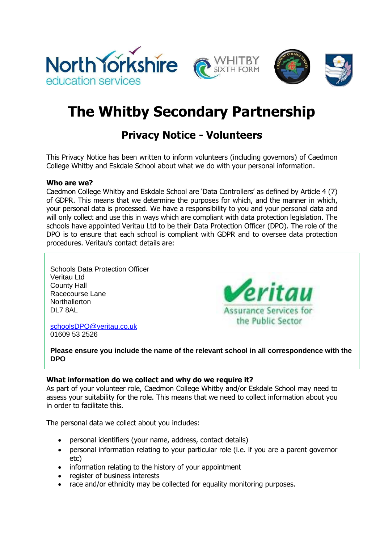







# **The Whitby Secondary Partnership**

# **Privacy Notice - Volunteers**

This Privacy Notice has been written to inform volunteers (including governors) of Caedmon College Whitby and Eskdale School about what we do with your personal information.

#### **Who are we?**

Caedmon College Whitby and Eskdale School are 'Data Controllers' as defined by Article 4 (7) of GDPR. This means that we determine the purposes for which, and the manner in which, your personal data is processed. We have a responsibility to you and your personal data and will only collect and use this in ways which are compliant with data protection legislation. The schools have appointed Veritau Ltd to be their Data Protection Officer (DPO). The role of the DPO is to ensure that each school is compliant with GDPR and to oversee data protection procedures. Veritau's contact details are:

Schools Data Protection Officer Veritau Ltd County Hall Racecourse Lane **Northallerton** DL7 8AL



[schoolsDPO@veritau.co.uk](mailto:schoolsDPO@veritau.co.uk) 01609 53 2526

**Please ensure you include the name of the relevant school in all correspondence with the DPO** 

## **What information do we collect and why do we require it?**

As part of your volunteer role, Caedmon College Whitby and/or Eskdale School may need to assess your suitability for the role. This means that we need to collect information about you in order to facilitate this.

The personal data we collect about you includes:

- personal identifiers (your name, address, contact details)
- personal information relating to your particular role (i.e. if you are a parent governor etc)
- information relating to the history of your appointment
- register of business interests
- race and/or ethnicity may be collected for equality monitoring purposes.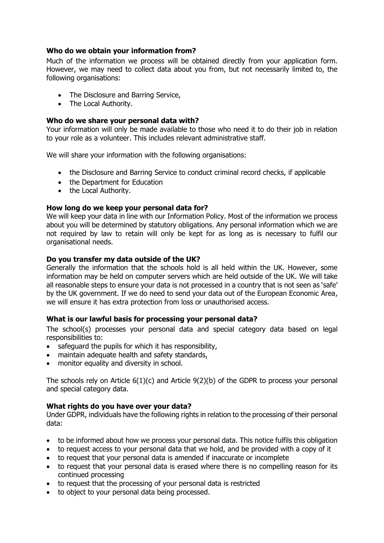### **Who do we obtain your information from?**

Much of the information we process will be obtained directly from your application form. However, we may need to collect data about you from, but not necessarily limited to, the following organisations:

- The Disclosure and Barring Service,
- The Local Authority.

#### **Who do we share your personal data with?**

Your information will only be made available to those who need it to do their job in relation to your role as a volunteer. This includes relevant administrative staff.

We will share your information with the following organisations:

- the Disclosure and Barring Service to conduct criminal record checks, if applicable
- the Department for Education
- the Local Authority.

#### **How long do we keep your personal data for?**

We will keep your data in line with our Information Policy. Most of the information we process about you will be determined by statutory obligations. Any personal information which we are not required by law to retain will only be kept for as long as is necessary to fulfil our organisational needs.

#### **Do you transfer my data outside of the UK?**

Generally the information that the schools hold is all held within the UK. However, some information may be held on computer servers which are held outside of the UK. We will take all reasonable steps to ensure your data is not processed in a country that is not seen as 'safe' by the UK government. If we do need to send your data out of the European Economic Area, we will ensure it has extra protection from loss or unauthorised access.

#### **What is our lawful basis for processing your personal data?**

The school(s) processes your personal data and special category data based on legal responsibilities to:

- safeguard the pupils for which it has responsibility,
- maintain adequate health and safety standards,
- monitor equality and diversity in school.

The schools rely on Article 6(1)(c) and Article 9(2)(b) of the GDPR to process your personal and special category data.

#### **What rights do you have over your data?**

Under GDPR, individuals have the following rights in relation to the processing of their personal data:

- to be informed about how we process your personal data. This notice fulfils this obligation
- to request access to your personal data that we hold, and be provided with a copy of it
- to request that your personal data is amended if inaccurate or incomplete
- to request that your personal data is erased where there is no compelling reason for its continued processing
- to request that the processing of your personal data is restricted
- to object to your personal data being processed.